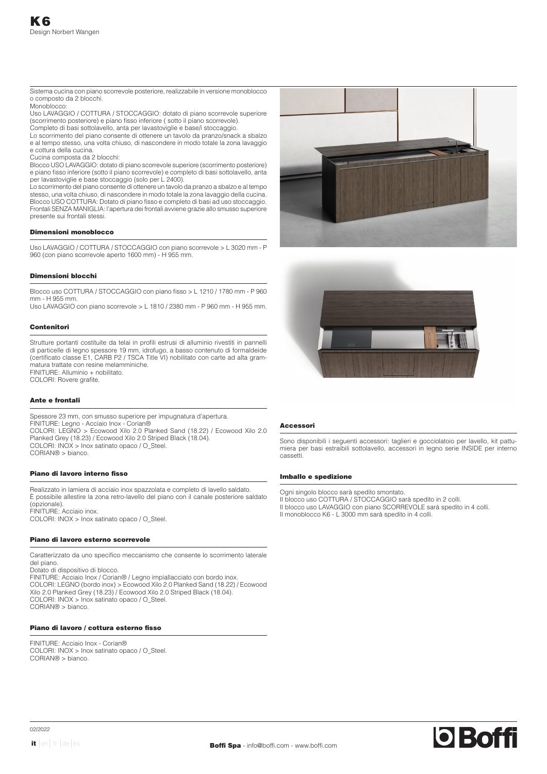Sistema cucina con piano scorrevole posteriore, realizzabile in versione monoblocco o composto da 2 blocchi.

Monoblocco:

Uso LAVAGGIO / COTTURA / STOCCAGGIO: dotato di piano scorrevole superiore (scorrimento posteriore) e piano fisso inferiore ( sotto il piano scorrevole). Completo di basi sottolavello, anta per lavastoviglie e base/i stoccaggio.

Lo scorrimento del piano consente di ottenere un tavolo da pranzo/snack a sbalzo e al tempo stesso, una volta chiuso, di nascondere in modo totale la zona lavaggio e cottura della cucina.

Cucina composta da 2 blocchi:

Blocco USO LAVAGGIO: dotato di piano scorrevole superiore (scorrimento posteriore) e piano fisso inferiore (sotto il piano scorrevole) e completo di basi sottolavello, anta per lavastoviglie e base stoccaggio (solo per L 2400).

Lo scorrimento del piano consente di ottenere un tavolo da pranzo a sbalzo e al tempo stesso, una volta chiuso, di nascondere in modo totale la zona lavaggio della cucina. Blocco USO COTTURA: Dotato di piano fisso e completo di basi ad uso stoccaggio. Frontali SENZA MANIGLIA: l'apertura dei frontali avviene grazie allo smusso superiore presente sui frontali stessi.

### Dimensioni monoblocco

Uso LAVAGGIO / COTTURA / STOCCAGGIO con piano scorrevole > L 3020 mm - P 960 (con piano scorrevole aperto 1600 mm) - H 955 mm.

# Dimensioni blocchi

Blocco uso COTTURA / STOCCAGGIO con piano fisso > L 1210 / 1780 mm - P 960 mm - H 955 mm.

Uso LAVAGGIO con piano scorrevole > L 1810 / 2380 mm - P 960 mm - H 955 mm.

## Contenitori

Strutture portanti costituite da telai in profili estrusi di alluminio rivestiti in pannelli di particelle di legno spessore 19 mm, idrofugo, a basso contenuto di formaldeide (certificato classe E1, CARB P2 / TSCA Title VI) nobilitato con carte ad alta grammatura trattate con resine melamminiche. FINITURE: Alluminio + nobilitato.

COLORI: Rovere grafite.

# Ante e frontali

Spessore 23 mm, con smusso superiore per impugnatura d'apertura. FINITURE: Legno - Acciaio Inox - Corian® COLORI: LEGNO > Ecowood Xilo 2.0 Planked Sand (18.22) / Ecowood Xilo 2.0 Planked Grey (18.23) / Ecowood Xilo 2.0 Striped Black (18.04). COLORI: INOX > Inox satinato opaco / O\_Steel. CORIAN® > bianco.

## Piano di lavoro interno fisso

Realizzato in lamiera di acciaio inox spazzolata e completo di lavello saldato. È possibile allestire la zona retro-lavello del piano con il canale posteriore saldato (opzionale). FINITURE: Acciaio inox. COLORI: INOX > Inox satinato opaco / O\_Steel.

### Piano di lavoro esterno scorrevole

Caratterizzato da uno specifico meccanismo che consente lo scorrimento laterale del piano.

Dotato di dispositivo di blocco. FINITURE: Acciaio Inox / Corian® / Legno impiallacciato con bordo inox. COLORI: LEGNO (bordo inox) > Ecowood Xilo 2.0 Planked Sand (18.22) / Ecowood Xilo 2.0 Planked Grey (18.23) / Ecowood Xilo 2.0 Striped Black (18.04). COLORI: INOX > Inox satinato opaco / O\_Steel. CORIAN® > bianco.

## Piano di lavoro / cottura esterno fisso

FINITURE: Acciaio Inox - Corian® COLORI: INOX > Inox satinato opaco / O\_Steel. CORIAN® > bianco.





# Accessori

Sono disponibili i seguenti accessori: taglieri e gocciolatoio per lavello, kit pattumiera per basi estraibili sottolavello, accessori in legno serie INSIDE per interno cassetti.

## Imballo e spedizione

Ogni singolo blocco sarà spedito smontato. Il blocco uso COTTURA / STOCCAGGIO sarà spedito in 2 colli. Il blocco uso LAVAGGIO con piano SCORREVOLE sarà spedito in 4 colli. Il monoblocco K6 - L 3000 mm sarà spedito in 4 colli.

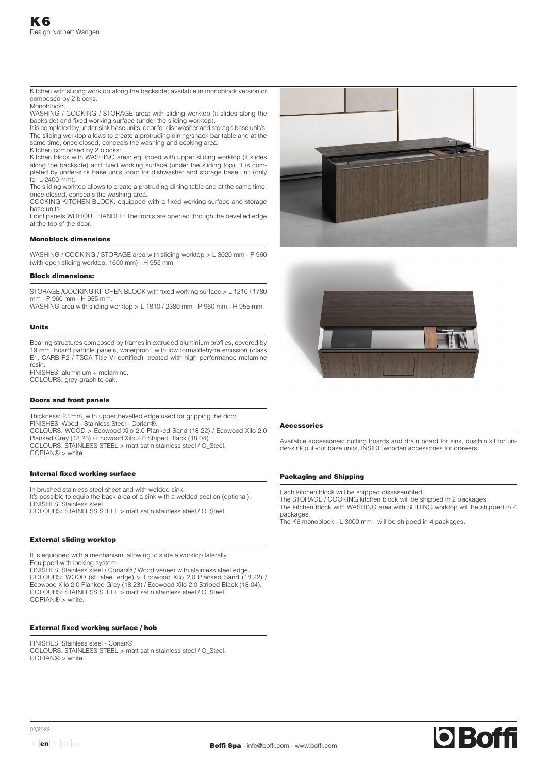Kitchen with sliding worktop along the backside; available in monoblock version or composed by 2 blocks.

Monoblock:

WASHING / COOKING / STORAGE area: with sliding worktop (it slides along the backside) and fixed working surface (under the sliding worktop).

It is completed by under-sink base units, door for dishwasher and storage base unit/s. The sliding worktop allows to create a protruding dining/snack bar table and at the same time, once closed, conceals the washing and cooking area. Kitchen composed by 2 blocks:

Kitchen block with WASHING area: equipped with upper sliding worktop (it slides along the backside) and fixed working surface (under the sliding top). It is completed by under-sink base units, door for dishwasher and storage base unit (only for L 2400 mm).

The sliding worktop allows to create a protruding dining table and at the same time, once closed, conceals the washing area.

COOKING KITCHEN BLOCK: equipped with a fixed working surface and storage base units.

Front panels WITHOUT HANDLE: The fronts are opened through the bevelled edge at the top of the door.

## Monoblock dimensions

WASHING / COOKING / STORAGE area with sliding worktop > L 3020 mm - P 960 (with open sliding worktop: 1600 mm) - H 955 mm.

## Block dimensions:

STORAGE /COOKING KITCHEN BLOCK with fixed working surface > L 1210 / 1780 mm - P 960 mm - H 955 mm.

WASHING area with sliding worktop > L 1810 / 2380 mm - P 960 mm - H 955 mm.

## Units

Bearing structures composed by frames in extruded aluminium profiles, covered by 19 mm. board particle panels, waterproof, with low formaldehyde emission (class E1, CARB P2 / TSCA Title VI certified), treated with high performance melamine resin.

FINISHES: aluminium + melamine. COLOURS: grey-graphite oak.

## Doors and front panels

Thickness: 23 mm, with upper bevelled edge used for gripping the door. FINISHES: Wood - Stainless Steel - Corian®. COLOURS: WOOD > Ecowood Xilo 2.0 Planked Sand (18.22) / Ecowood Xilo 2.0 Planked Grey (18.23) / Ecowood Xilo 2.0 Striped Black (18.04). COLOURS: STAINLESS STEEL > matt satin stainless steel / O\_Steel. CORIAN® > white.

### Internal fixed working surface

In brushed stainless steel sheet and with welded sink. It's possible to equip the back area of a sink with a welded section (optional). FINISHES: Stainless steel COLOURS: STAINLESS STEEL > matt satin stainless steel / O\_Steel.

## External sliding worktop

It is equipped with a mechanism, allowing to slide a worktop laterally. Equipped with locking system.

FINISHES: Stainless steel / Corian® / Wood veneer with stainless steel edge. COLOURS: WOOD (st. steel edge) > Ecowood Xilo 2.0 Planked Sand (18.22) / Ecowood Xilo 2.0 Planked Grey (18.23) / Ecowood Xilo 2.0 Striped Black (18.04). COLOURS: STAINLESS STEEL > matt satin stainless steel / O\_Steel. CORIAN® > white.

# External fixed working surface / hob

FINISHES: Stainless steel - Corian® COLOURS: STAINLESS STEEL > matt satin stainless steel / O\_Steel. CORIAN® > white.





# Accessories

Available accessories: cutting boards and drain board for sink, dustbin kit for under-sink pull-out base units, INSIDE wooden accessories for drawers.

## Packaging and Shipping

Each kitchen block will be shipped disassembled. The STORAGE / COOKING kitchen block will be shipped in 2 packages. The kitchen block with WASHING area with SLIDING worktop will be shipped in 4 packages.

The K6 monoblock - L 3000 mm - will be shipped in 4 packages.

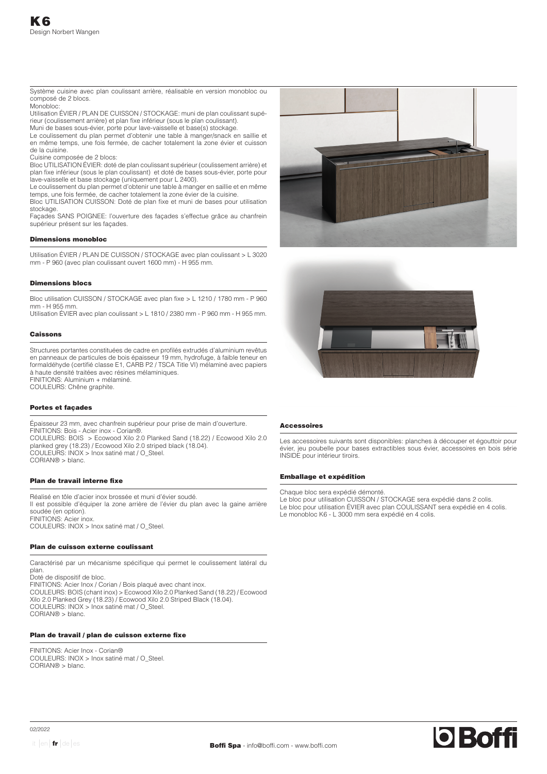Système cuisine avec plan coulissant arrière, réalisable en version monobloc ou composé de 2 blocs.

Monobloc: Utilisation ÉVIER / PLAN DE CUISSON / STOCKAGE: muni de plan coulissant supérieur (coulissement arrière) et plan fixe inférieur (sous le plan coulissant).

Muni de bases sous-évier, porte pour lave-vaisselle et base(s) stockage.

Le coulissement du plan permet d'obtenir une table à manger/snack en saillie et en même temps, une fois fermée, de cacher totalement la zone évier et cuisson de la cuisine.

Cuisine composée de 2 blocs:

Bloc UTILISATION ÉVIER: doté de plan coulissant supérieur (coulissement arrière) et plan fixe inférieur (sous le plan coulissant) et doté de bases sous-évier, porte pour lave-vaisselle et base stockage (uniquement pour L 2400).

Le coulissement du plan permet d'obtenir une table à manger en saillie et en même temps, une fois fermée, de cacher totalement la zone évier de la cuisine. Bloc UTILISATION CUISSON: Doté de plan fixe et muni de bases pour utilisation

stockage. Façades SANS POIGNEE: l'ouverture des façades s'effectue grâce au chanfrein supérieur présent sur les façades.

## Dimensions monobloc

Utilisation ÉVIER / PLAN DE CUISSON / STOCKAGE avec plan coulissant > L 3020 mm - P 960 (avec plan coulissant ouvert 1600 mm) - H 955 mm.

## Dimensions blocs

Bloc utilisation CUISSON / STOCKAGE avec plan fixe > L 1210 / 1780 mm - P 960 mm - H 955 mm.

Utilisation ÉVIER avec plan coulissant > L 1810 / 2380 mm - P 960 mm - H 955 mm.

## Caissons

Structures portantes constituées de cadre en profilés extrudés d'aluminium revêtus en panneaux de particules de bois épaisseur 19 mm, hydrofuge, à faible teneur en formaldéhyde (certifié classe E1, CARB P2 / TSCA Title VI) mélaminé avec papiers à haute densité traitées avec résines mélaminiques. FINITIONS: Aluminium + mélaminé.

COULEURS: Chêne graphite.

# Portes et façades

Épaisseur 23 mm, avec chanfrein supérieur pour prise de main d'ouverture. FINITIONS: Bois - Acier inox - Corian®. COULEURS: BOIS > Ecowood Xilo 2.0 Planked Sand (18.22) / Ecowood Xilo 2.0 planked grey (18.23) / Ecowood Xilo 2.0 striped black (18.04). COULEURS: INOX > Inox satiné mat / O\_Steel. CORIAN® > blanc.

## Plan de travail interne fixe

Réalisé en tôle d'acier inox brossée et muni d'évier soudé. Il est possible d'équiper la zone arrière de l'évier du plan avec la gaine arrière soudée (en option). FINITIONS: Acier inox. COULEURS: INOX > Inox satiné mat / O\_Steel.

## Plan de cuisson externe coulissant

Caractérisé par un mécanisme spécifique qui permet le coulissement latéral du plan. Doté de dispositif de bloc. FINITIONS: Acier Inox / Corian / Bois plaqué avec chant inox. COULEURS: BOIS (chant inox) > Ecowood Xilo 2.0 Planked Sand (18.22) / Ecowood Xilo 2.0 Planked Grey (18.23) / Ecowood Xilo 2.0 Striped Black (18.04).

COULEURS: INOX > Inox satiné mat / O\_Steel.

CORIAN® > blanc.

# Plan de travail / plan de cuisson externe fixe

FINITIONS: Acier Inox - Corian® COULEURS: INOX > Inox satiné mat / O\_Steel. CORIAN® > blanc.





# Accessoires

Les accessoires suivants sont disponibles: planches à découper et égouttoir pour évier, jeu poubelle pour bases extractibles sous évier, accessoires en bois série INSIDE pour intérieur tiroirs.

## Emballage et expédition

Chaque bloc sera expédié démonté.

- Le bloc pour utilisation CUISSON / STOCKAGE sera expédié dans 2 colis. Le bloc pour utilisation ÉVIER avec plan COULISSANT sera expédié en 4 colis.
- Le monobloc K6 L 3000 mm sera expédié en 4 colis.

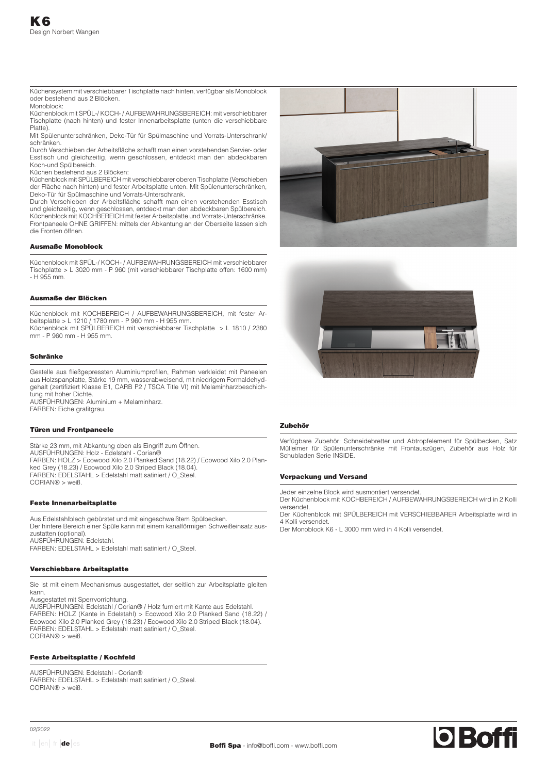Küchensystem mit verschiebbarer Tischplatte nach hinten, verfügbar als Monoblock oder bestehend aus 2 Blöcken.

**Monoblock:** 

Küchenblock mit SPÜL-/ KOCH- / AUFBEWAHRUNGSBEREICH: mit verschiebbarer Tischplatte (nach hinten) und fester Innenarbeitsplatte (unten die verschiebbare Platte).

Mit Spülenunterschränken, Deko-Tür für Spülmaschine und Vorrats-Unterschrank/ schränken.

Durch Verschieben der Arbeitsfläche schafft man einen vorstehenden Servier- oder Esstisch und gleichzeitig, wenn geschlossen, entdeckt man den abdeckbaren Koch-und Spülbereich.

Küchen bestehend aus 2 Blöcken:

Küchenblock mit SPÜLBEREICH mit verschiebbarer oberen Tischplatte (Verschieben der Fläche nach hinten) und fester Arbeitsplatte unten. Mit Spülenunterschränken, Deko-Tür für Spülmaschine und Vorrats-Unterschrank.

Durch Verschieben der Arbeitsfläche schafft man einen vorstehenden Esstisch und gleichzeitig, wenn geschlossen, entdeckt man den abdeckbaren Spülbereich. Küchenblock mit KOCHBEREICH mit fester Arbeitsplatte und Vorrats-Unterschränke. Frontpaneele OHNE GRIFFEN: mittels der Abkantung an der Oberseite lassen sich die Fronten öffnen.

## Ausmaße Monoblock

Küchenblock mit SPÜL-/ KOCH- / AUFBEWAHRUNGSBEREICH mit verschiebbarer Tischplatte > L 3020 mm - P 960 (mit verschiebbarer Tischplatte offen: 1600 mm) - H 955 mm.

## Ausmaße der Blöcken

Küchenblock mit KOCHBEREICH / AUFBEWAHRUNGSBEREICH, mit fester Arbeitsplatte > L 1210 / 1780 mm - P 960 mm - H 955 mm. Küchenblock mit SPÜLBEREICH mit verschiebbarer Tischplatte > L 1810 / 2380 mm - P 960 mm - H 955 mm.

# Schränke

Gestelle aus fließgepressten Aluminiumprofilen, Rahmen verkleidet mit Paneelen aus Holzspanplatte, Stärke 19 mm, wasserabweisend, mit niedrigem Formaldehydgehalt (zertifiziert Klasse E1, CARB P2 / TSCA Title VI) mit Melaminharzbeschichtung mit hoher Dichte. AUSFÜHRUNGEN: Aluminium + Melaminharz.

FARBEN: Eiche grafitgrau.

### Türen und Frontpaneele

Stärke 23 mm, mit Abkantung oben als Eingriff zum Öffnen. AUSFÜHRUNGEN: Holz - Edelstahl - Corian® FARBEN: HOLZ > Ecowood Xilo 2.0 Planked Sand (18.22) / Ecowood Xilo 2.0 Planked Grey (18.23) / Ecowood Xilo 2.0 Striped Black (18.04). FARBEN: EDELSTAHL > Edelstahl matt satiniert / O\_Steel. CORIAN® > weiß.

### Feste Innenarbeitsplatte

Aus Edelstahlblech gebürstet und mit eingeschweißtem Spülbecken. Der hintere Bereich einer Spüle kann mit einem kanalförmigen Schweißeinsatz auszustatten (optional). AUSFÜHRUNGEN: Edelstahl. FARBEN: EDELSTAHL > Edelstahl matt satiniert / O\_Steel.

### Verschiebbare Arbeitsplatte

Sie ist mit einem Mechanismus ausgestattet, der seitlich zur Arbeitsplatte gleiten kann.

Ausgestattet mit Sperrvorrichtung. AUSFÜHRUNGEN: Edelstahl / Corian® / Holz furniert mit Kante aus Edelstahl. FARBEN: HOLZ (Kante in Edelstahl) > Ecowood Xilo 2.0 Planked Sand (18.22) / Ecowood Xilo 2.0 Planked Grey (18.23) / Ecowood Xilo 2.0 Striped Black (18.04). FARBEN: EDELSTAHL > Edelstahl matt satiniert / O\_Steel. CORIAN® > weiß.

## Feste Arbeitsplatte / Kochfeld

AUSFÜHRUNGEN: Edelstahl - Corian® FARBEN: EDELSTAHL > Edelstahl matt satiniert / O\_Steel. CORIAN® > weiß.





## **Zubehör**

Verfügbare Zubehör: Schneidebretter und Abtropfelement für Spülbecken, Satz Mülleimer für Spülenunterschränke mit Frontauszügen, Zubehör aus Holz für Schubladen Serie INSIDE.

## Verpackung und Versand

Jeder einzelne Block wird ausmontiert versendet.

Der Küchenblock mit KOCHBEREICH / AUFBEWAHRUNGSBEREICH wird in 2 Kolli versendet.

Der Küchenblock mit SPÜLBEREICH mit VERSCHIEBBARER Arbeitsplatte wird in 4 Kolli versendet.

Der Monoblock K6 - L 3000 mm wird in 4 Kolli versendet.



02/2022